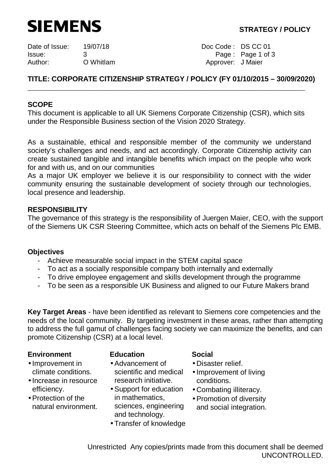## **STRATEGY / POLICY**



Date of Issue: 19/07/18 Doc Code : DS CC 01 Issue: 3 Page : Page 1 of 3 Author: O Whitlam **Author:** O Whitlam **Author:** J Maier

## **TITLE: CORPORATE CITIZENSHIP STRATEGY / POLICY (FY 01/10/2015 – 30/09/2020)**

### **SCOPE**

This document is applicable to all UK Siemens Corporate Citizenship (CSR), which sits under the Responsible Business section of the Vision 2020 Strategy.

\_\_\_\_\_\_\_\_\_\_\_\_\_\_\_\_\_\_\_\_\_\_\_\_\_\_\_\_\_\_\_\_\_\_\_\_\_\_\_\_\_\_\_\_\_\_\_\_\_\_\_\_\_\_\_\_\_\_\_\_\_\_\_\_\_\_\_\_\_\_\_\_\_\_\_\_\_

As a sustainable, ethical and responsible member of the community we understand society's challenges and needs, and act accordingly. Corporate Citizenship activity can create sustained tangible and intangible benefits which impact on the people who work for and with us, and on our communities

As a major UK employer we believe it is our responsibility to connect with the wider community ensuring the sustainable development of society through our technologies, local presence and leadership.

#### **RESPONSIBILITY**

The governance of this strategy is the responsibility of Juergen Maier, CEO, with the support of the Siemens UK CSR Steering Committee, which acts on behalf of the Siemens Plc EMB.

#### **Objectives**

- Achieve measurable social impact in the STEM capital space
- To act as a socially responsible company both internally and externally
- To drive employee engagement and skills development through the programme
- To be seen as a responsible UK Business and aligned to our Future Makers brand

**Key Target Areas** - have been identified as relevant to Siemens core competencies and the needs of the local community. By targeting investment in these areas, rather than attempting to address the full gamut of challenges facing society we can maximize the benefits, and can promote Citizenship (CSR) at a local level.

#### **Environment**

- $\cdot$  Improvement in climate conditions.
- $\cdot$  Increase in resource efficiency.
- Protection of the natural environment.

## **Education**

- Advancement of scientific and medical research initiative.
- Support for education in mathematics, sciences, engineering and technology.
- Transfer of knowledge

#### **Social**

- Disaster relief.
- Improvement of living conditions.
- Combating illiteracy.
- Promotion of diversity
- and social integration.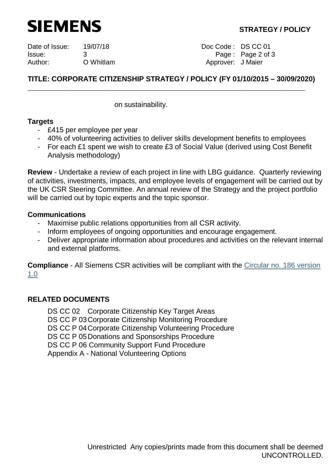## **STRATEGY / POLICY**



Date of Issue: 19/07/18 Doc Code : DS CC 01 Issue: 3 Page : Page 2 of 3 Author: O Whitlam **Author:** O Whitlam **Author:** Approver: J Maier

# **TITLE: CORPORATE CITIZENSHIP STRATEGY / POLICY (FY 01/10/2015 – 30/09/2020)**

\_\_\_\_\_\_\_\_\_\_\_\_\_\_\_\_\_\_\_\_\_\_\_\_\_\_\_\_\_\_\_\_\_\_\_\_\_\_\_\_\_\_\_\_\_\_\_\_\_\_\_\_\_\_\_\_\_\_\_\_\_\_\_\_\_\_\_\_\_\_\_\_\_\_\_\_\_

on sustainability.

### **Targets**

- £415 per employee per year
- 40% of volunteering activities to deliver skills development benefits to employees
- For each £1 spent we wish to create £3 of Social Value (derived using Cost Benefit Analysis methodology)

**Review** - Undertake a review of each project in line with LBG guidance. Quarterly reviewing of activities, investments, impacts, and employee levels of engagement will be carried out by the UK CSR Steering Committee. An annual review of the Strategy and the project portfolio will be carried out by topic experts and the topic sponsor.

#### **Communications**

- Maximise public relations opportunities from all CSR activity.
- Inform employees of ongoing opportunities and encourage engagement.
- Deliver appropriate information about procedures and activities on the relevant internal and external platforms.

**Compliance** - All Siemens CSR activities will be compliant with the [Circular no. 186 version](https://intranet.nwe.siemens.com/cluster/cc/myuk/communications/spodom/Documents/SC_186.pdf) [1.0](https://intranet.nwe.siemens.com/cluster/cc/myuk/communications/spodom/Documents/SC_186.pdf)

#### **RELATED DOCUMENTS**

DS CC 02 Corporate Citizenship Key Target Areas DS CC P 03 Corporate Citizenship Monitoring Procedure DS CC P 04 Corporate Citizenship Volunteering Procedure DS CC P 05 Donations and Sponsorships Procedure DS CC P 06 Community Support Fund Procedure Appendix A - National Volunteering Options